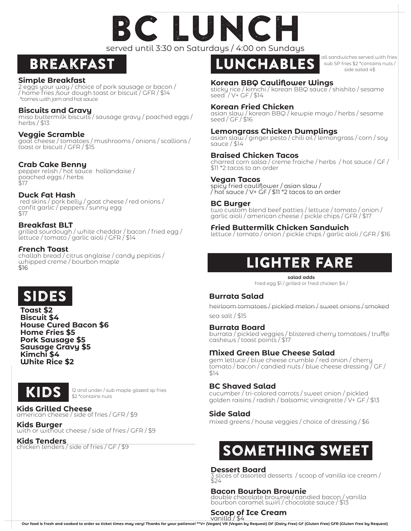# served until 3:30 on Saturdays / 4:00 on Sundays C LUNCI

### Breakfast

#### **Simple Breakfast**

2 eggs your way / choice of pork sausage or bacon / / home fries /sour dough toast or biscuit / GFR / \$14 \*comes with jam and hot sauce

#### **Biscuits and Gravy**

miso buttermilk biscuits / sausage gravy / poached eggs / herbs / \$13

#### **Veggie Scramble**

goat cheese / tomatoes / mushrooms / onions / scallions / toast or biscuit / GFR / \$15

### **Crab Cake Benny**

pepper relish / hot sauce hollandaise / poached eggs / herbs \$17

#### **Duck Fat Hash**

 red skins / pork belly / goat cheese / red onions / confit garlic / peppers / sunny egg \$17

#### **Breakfast BLT**

grilled sourdough / white cheddar / bacon / fried egg / lettuce / tomato / garlic aioli / GFR / \$14

#### **French Toast**

challah bread / citrus anglaise / candy pepitias / whipped creme / bourbon maple \$16

# **SIDES**

**Toast \$2 Biscuit \$4 House Cured Bacon \$6 Home Fries \$5 Pork Sausage \$5 Sausage Gravy \$5 Kimchi \$4 White Rice \$2**



12 and under / sub maple glazed sp fries \$2 \*contains nuts

**Kids Grilled Cheese** american cheese / side of fries / GFR / \$9

**Kids Burger**  with or without cheese / side of fries / GFR / \$9

#### **Kids Tenders**

chicken tenders / side of fries / GF / \$9



all sandwiches served with fries sub SP fries \$2 \*contains nuts / side salad 4\$

#### **Korean BBQ Cauliflower Wings**

sticky rice / kimchi / korean BBQ sauce / shishito / sesame seed / V+ GF / \$14

#### **Korean Fried Chicken**

asian slaw / korean BBQ / kewpie mayo / herbs / sesame seed / GF / \$16

#### **Lemongrass Chicken Dumplings**

asian slaw / ginger pesto / chili oil / lemongrass / corn / soy sauce / \$14

#### **Braised Chicken Tacos**

charred corn salsa / creme fraiche / herbs / hot sauce / GF / \$11 \*2 tacos to an order

#### **Vegan Tacos**

spicy fried cauliflower / asian slaw / / hot sauce / V+ GF / \$11 \*2 tacos to an order

#### **BC Burger**

two custom blend beef patties / lettuce / tomato / onion / garlic aioli / american cheese / pickle chips / GFR / \$17

#### **Fried Buttermilk Chicken Sandwich**

lettuce / tomato / onion / pickle chips / garlic aioli / GFR / \$16

### Lighter fare

**salad adds**

fried egg \$1 / grilled or fried chicken \$4 /

### **Burrata Salad**

heirloom tomatoes / pickled melon / sweet onions / smoked sea salt / \$15

#### **Burrata Board**

burrata / pickled veggies / blistered cherry tomatoes / truffle cashews / toast points / \$17

### **Mixed Green Blue Cheese Salad**

gem lettuce / blue cheese crumble / red onion / cherry tomato / bacon / candied nuts / blue cheese dressing / GF / \$14

#### **BC Shaved Salad**

cucumber / tri-colored carrots / sweet onion / pickled golden raisins / radish / balsamic vinaigrette / V+ GF / \$13

#### **Side Salad**

mixed greens / house veggies / choice of dressing / \$6

### Something Sweet

#### **Dessert Board**

3 slices of assorted desserts / scoop of vanilla ice cream / \$24

#### **Bacon Bourbon Brownie**

double chocolate brownie / candied bacon / vanilla bourbon caramel swirl / chocolate sauce / \$13

### **Scoop of Ice Cream** vanilla / \$4

**Our food is fresh and cooked to order so ticket times may vary! Thanks for your patience! \*\*V+ (Vegan) VR (Vegan by Request) DF (Dairy Free) GF (Gluten Free) GFR (Gluten Free by Request)**